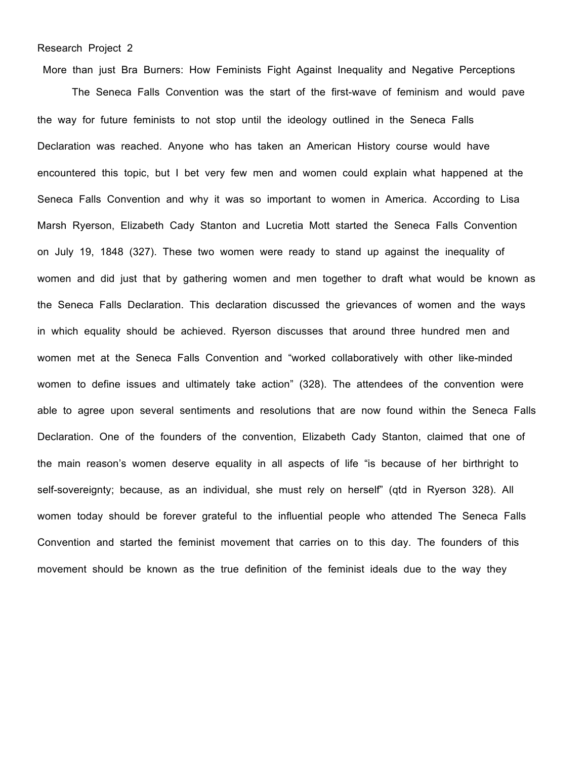## Research Project 2

More than just Bra Burners: How Feminists Fight Against Inequality and Negative Perceptions

The Seneca Falls Convention was the start of the first-wave of feminism and would pave the way for future feminists to not stop until the ideology outlined in the Seneca Falls Declaration was reached. Anyone who has taken an American History course would have encountered this topic, but I bet very few men and women could explain what happened at the Seneca Falls Convention and why it was so important to women in America. According to Lisa Marsh Ryerson, Elizabeth Cady Stanton and Lucretia Mott started the Seneca Falls Convention on July 19, 1848 (327). These two women were ready to stand up against the inequality of women and did just that by gathering women and men together to draft what would be known as the Seneca Falls Declaration. This declaration discussed the grievances of women and the ways in which equality should be achieved. Ryerson discusses that around three hundred men and women met at the Seneca Falls Convention and "worked collaboratively with other like-minded women to define issues and ultimately take action" (328). The attendees of the convention were able to agree upon several sentiments and resolutions that are now found within the Seneca Falls Declaration. One of the founders of the convention, Elizabeth Cady Stanton, claimed that one of the main reason's women deserve equality in all aspects of life "is because of her birthright to self-sovereignty; because, as an individual, she must rely on herself" (qtd in Ryerson 328). All women today should be forever grateful to the influential people who attended The Seneca Falls Convention and started the feminist movement that carries on to this day. The founders of this movement should be known as the true definition of the feminist ideals due to the way they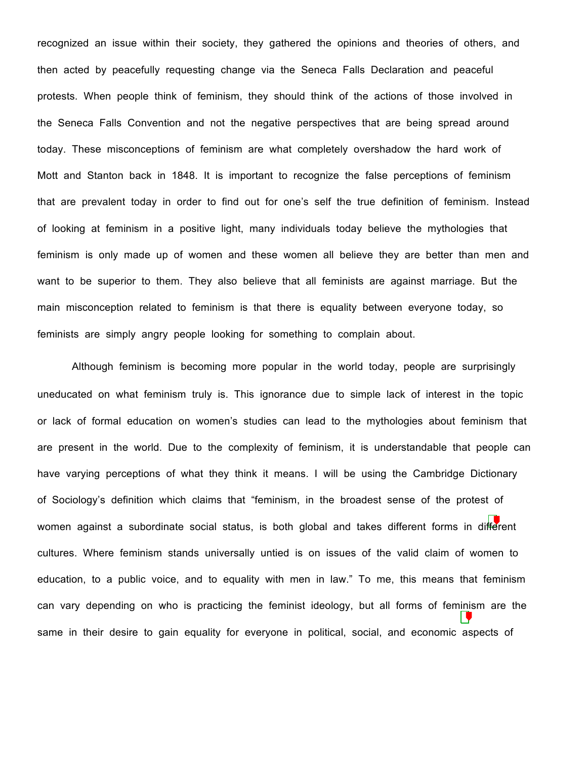recognized an issue within their society, they gathered the opinions and theories of others, and then acted by peacefully requesting change via the Seneca Falls Declaration and peaceful protests. When people think of feminism, they should think of the actions of those involved in the Seneca Falls Convention and not the negative perspectives that are being spread around today. These misconceptions of feminism are what completely overshadow the hard work of Mott and Stanton back in 1848. It is important to recognize the false perceptions of feminism that are prevalent today in order to find out for one's self the true definition of feminism. Instead of looking at feminism in a positive light, many individuals today believe the mythologies that feminism is only made up of women and these women all believe they are better than men and want to be superior to them. They also believe that all feminists are against marriage. But the main misconception related to feminism is that there is equality between everyone today, so feminists are simply angry people looking for something to complain about.

Although feminism is becoming more popular in the world today, people are surprisingly uneducated on what feminism truly is. This ignorance due to simple lack of interest in the topic or lack of formal education on women's studies can lead to the mythologies about feminism that are present in the world. Due to the complexity of feminism, it is understandable that people can have varying perceptions of what they think it means. I will be using the Cambridge Dictionary of Sociology's definition which claims that "feminism, in the broadest sense of the protest of women against a subordinate social status, is both global and takes different forms in different cultures. Where feminism stands universally untied is on issues of the valid claim of women to education, to a public voice, and to equality with men in law." To me, this means that feminism can vary depending on who is practicing the feminist ideology, but all forms of feminism are the same in their desire to gain equality for everyone in political, social, and economic aspects of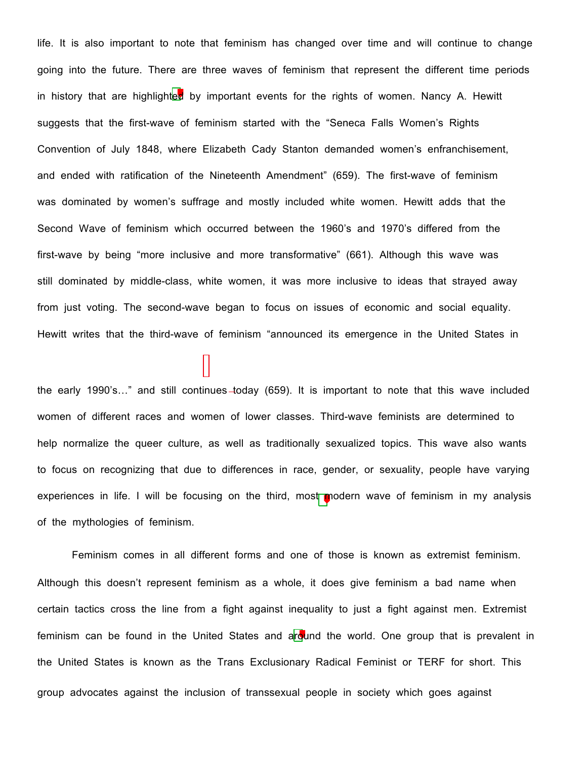life. It is also important to note that feminism has changed over time and will continue to change going into the future. There are three waves of feminism that represent the different time periods in history that are highlighted by important events for the rights of women. Nancy A. Hewitt suggests that the first-wave of feminism started with the "Seneca Falls Women's Rights Convention of July 1848, where Elizabeth Cady Stanton demanded women's enfranchisement, and ended with ratification of the Nineteenth Amendment" (659). The first-wave of feminism was dominated by women's suffrage and mostly included white women. Hewitt adds that the Second Wave of feminism which occurred between the 1960's and 1970's differed from the first-wave by being "more inclusive and more transformative" (661). Although this wave was still dominated by middle-class, white women, it was more inclusive to ideas that strayed away from just voting. The second-wave began to focus on issues of economic and social equality. Hewitt writes that the third-wave of feminism "announced its emergence in the United States in

the early 1990's..." and still continues-today (659). It is important to note that this wave included women of different races and women of lower classes. Third-wave feminists are determined to help normalize the queer culture, as well as traditionally sexualized topics. This wave also wants to focus on recognizing that due to differences in race, gender, or sexuality, people have varying experiences in life. I will be focusing on the third, most modern wave of feminism in my analysis of the mythologies of feminism.

Feminism comes in all different forms and one of those is known as extremist feminism. Although this doesn't represent feminism as a whole, it does give feminism a bad name when certain tactics cross the line from a fight against inequality to just a fight against men. Extremist feminism can be found in the United States and around the world. One group that is prevalent in the United States is known as the Trans Exclusionary Radical Feminist or TERF for short. This group advocates against the inclusion of transsexual people in society which goes against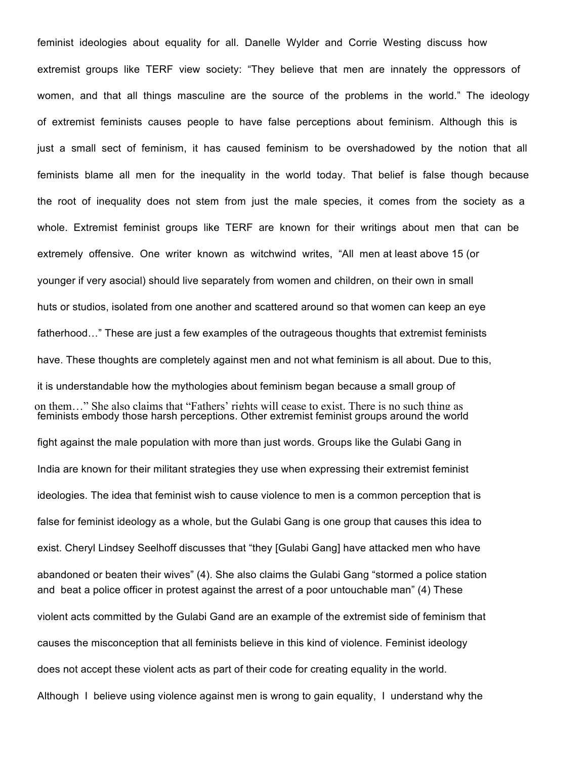on them…" She also claims that "Fathers' rights will cease to exist. There is no such thing as feminist ideologies about equality for all. Danelle Wylder and Corrie Westing discuss how extremist groups like TERF view society: "They believe that men are innately the oppressors of women, and that all things masculine are the source of the problems in the world." The ideology of extremist feminists causes people to have false perceptions about feminism. Although this is just a small sect of feminism, it has caused feminism to be overshadowed by the notion that all feminists blame all men for the inequality in the world today. That belief is false though because the root of inequality does not stem from just the male species, it comes from the society as a whole. Extremist feminist groups like TERF are known for their writings about men that can be extremely offensive. One writer known as witchwind writes, "All men at least above 15 (or younger if very asocial) should live separately from women and children, on their own in small huts or studios, isolated from one another and scattered around so that women can keep an eye fatherhood…" These are just a few examples of the outrageous thoughts that extremist feminists have. These thoughts are completely against men and not what feminism is all about. Due to this, it is understandable how the mythologies about feminism began because a small group of feminists embody those harsh perceptions. Other extremist feminist groups around the world fight against the male population with more than just words. Groups like the Gulabi Gang in India are known for their militant strategies they use when expressing their extremist feminist ideologies. The idea that feminist wish to cause violence to men is a common perception that is false for feminist ideology as a whole, but the Gulabi Gang is one group that causes this idea to exist. Cheryl Lindsey Seelhoff discusses that "they [Gulabi Gang] have attacked men who have abandoned or beaten their wives" (4). She also claims the Gulabi Gang "stormed a police station and beat a police officer in protest against the arrest of a poor untouchable man" (4) These violent acts committed by the Gulabi Gand are an example of the extremist side of feminism that causes the misconception that all feminists believe in this kind of violence. Feminist ideology does not accept these violent acts as part of their code for creating equality in the world. Although I believe using violence against men is wrong to gain equality, I understand why the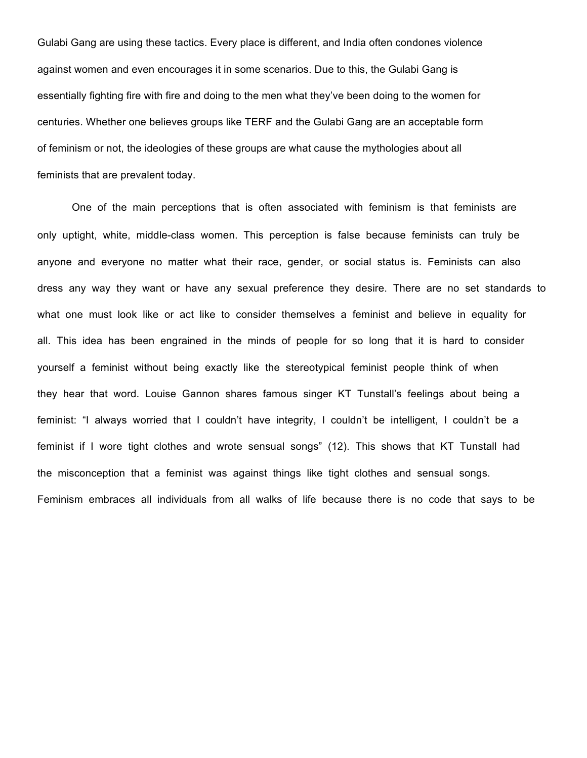Gulabi Gang are using these tactics. Every place is different, and India often condones violence against women and even encourages it in some scenarios. Due to this, the Gulabi Gang is essentially fighting fire with fire and doing to the men what they've been doing to the women for centuries. Whether one believes groups like TERF and the Gulabi Gang are an acceptable form of feminism or not, the ideologies of these groups are what cause the mythologies about all feminists that are prevalent today.

One of the main perceptions that is often associated with feminism is that feminists are only uptight, white, middle-class women. This perception is false because feminists can truly be anyone and everyone no matter what their race, gender, or social status is. Feminists can also dress any way they want or have any sexual preference they desire. There are no set standards to what one must look like or act like to consider themselves a feminist and believe in equality for all. This idea has been engrained in the minds of people for so long that it is hard to consider yourself a feminist without being exactly like the stereotypical feminist people think of when they hear that word. Louise Gannon shares famous singer KT Tunstall's feelings about being a feminist: "I always worried that I couldn't have integrity, I couldn't be intelligent, I couldn't be a feminist if I wore tight clothes and wrote sensual songs" (12). This shows that KT Tunstall had the misconception that a feminist was against things like tight clothes and sensual songs. Feminism embraces all individuals from all walks of life because there is no code that says to be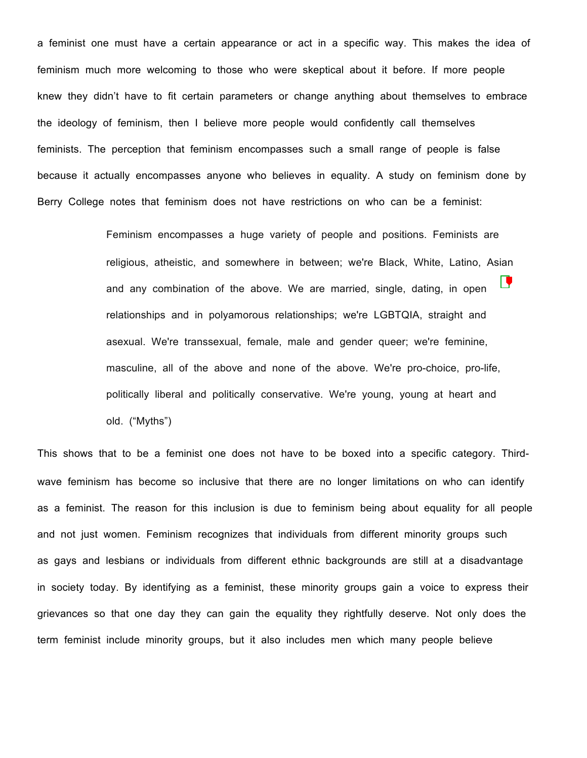a feminist one must have a certain appearance or act in a specific way. This makes the idea of feminism much more welcoming to those who were skeptical about it before. If more people knew they didn't have to fit certain parameters or change anything about themselves to embrace the ideology of feminism, then I believe more people would confidently call themselves feminists. The perception that feminism encompasses such a small range of people is false because it actually encompasses anyone who believes in equality. A study on feminism done by Berry College notes that feminism does not have restrictions on who can be a feminist:

> Feminism encompasses a huge variety of people and positions. Feminists are religious, atheistic, and somewhere in between; we're Black, White, Latino, Asian Ľ and any combination of the above. We are married, single, dating, in open relationships and in polyamorous relationships; we're LGBTQIA, straight and asexual. We're transsexual, female, male and gender queer; we're feminine, masculine, all of the above and none of the above. We're pro-choice, pro-life, politically liberal and politically conservative. We're young, young at heart and old. ("Myths")

This shows that to be a feminist one does not have to be boxed into a specific category. Thirdwave feminism has become so inclusive that there are no longer limitations on who can identify as a feminist. The reason for this inclusion is due to feminism being about equality for all people and not just women. Feminism recognizes that individuals from different minority groups such as gays and lesbians or individuals from different ethnic backgrounds are still at a disadvantage in society today. By identifying as a feminist, these minority groups gain a voice to express their grievances so that one day they can gain the equality they rightfully deserve. Not only does the term feminist include minority groups, but it also includes men which many people believe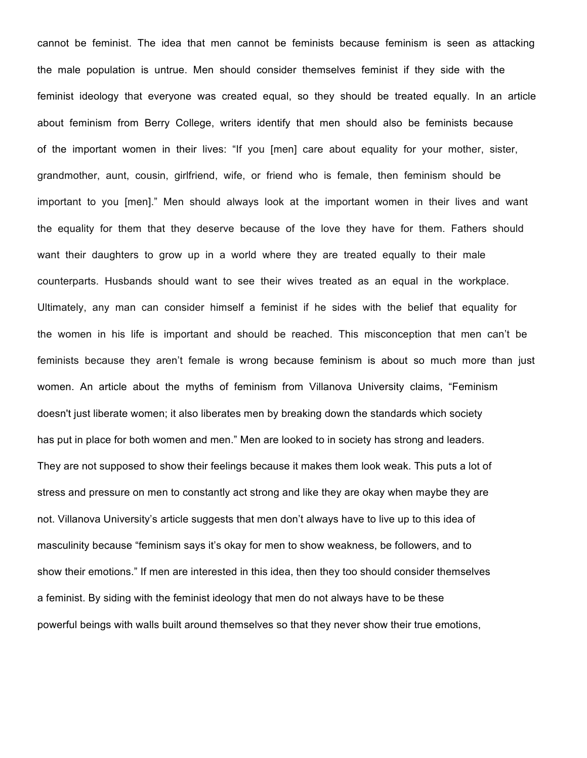cannot be feminist. The idea that men cannot be feminists because feminism is seen as attacking the male population is untrue. Men should consider themselves feminist if they side with the feminist ideology that everyone was created equal, so they should be treated equally. In an article about feminism from Berry College, writers identify that men should also be feminists because of the important women in their lives: "If you [men] care about equality for your mother, sister, grandmother, aunt, cousin, girlfriend, wife, or friend who is female, then feminism should be important to you [men]." Men should always look at the important women in their lives and want the equality for them that they deserve because of the love they have for them. Fathers should want their daughters to grow up in a world where they are treated equally to their male counterparts. Husbands should want to see their wives treated as an equal in the workplace. Ultimately, any man can consider himself a feminist if he sides with the belief that equality for the women in his life is important and should be reached. This misconception that men can't be feminists because they aren't female is wrong because feminism is about so much more than just women. An article about the myths of feminism from Villanova University claims, "Feminism doesn't just liberate women; it also liberates men by breaking down the standards which society has put in place for both women and men." Men are looked to in society has strong and leaders. They are not supposed to show their feelings because it makes them look weak. This puts a lot of stress and pressure on men to constantly act strong and like they are okay when maybe they are not. Villanova University's article suggests that men don't always have to live up to this idea of masculinity because "feminism says it's okay for men to show weakness, be followers, and to show their emotions." If men are interested in this idea, then they too should consider themselves a feminist. By siding with the feminist ideology that men do not always have to be these powerful beings with walls built around themselves so that they never show their true emotions,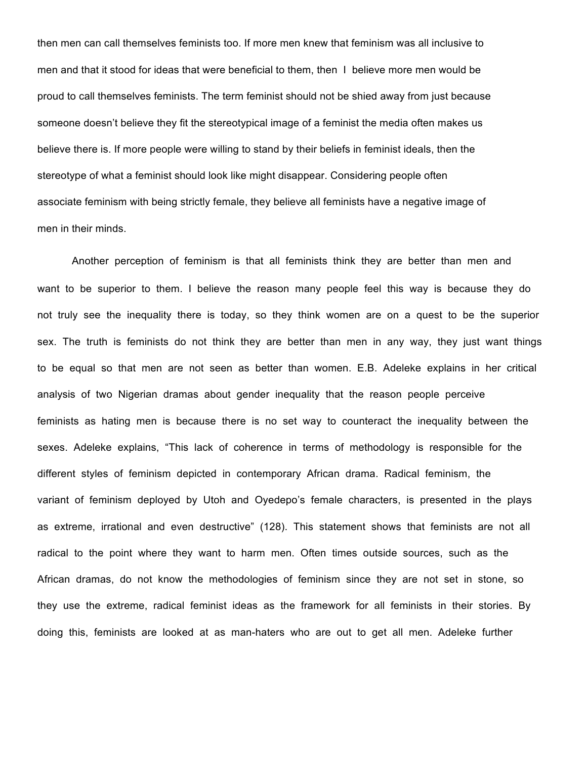then men can call themselves feminists too. If more men knew that feminism was all inclusive to men and that it stood for ideas that were beneficial to them, then I believe more men would be proud to call themselves feminists. The term feminist should not be shied away from just because someone doesn't believe they fit the stereotypical image of a feminist the media often makes us believe there is. If more people were willing to stand by their beliefs in feminist ideals, then the stereotype of what a feminist should look like might disappear. Considering people often associate feminism with being strictly female, they believe all feminists have a negative image of men in their minds.

Another perception of feminism is that all feminists think they are better than men and want to be superior to them. I believe the reason many people feel this way is because they do not truly see the inequality there is today, so they think women are on a quest to be the superior sex. The truth is feminists do not think they are better than men in any way, they just want things to be equal so that men are not seen as better than women. E.B. Adeleke explains in her critical analysis of two Nigerian dramas about gender inequality that the reason people perceive feminists as hating men is because there is no set way to counteract the inequality between the sexes. Adeleke explains, "This lack of coherence in terms of methodology is responsible for the different styles of feminism depicted in contemporary African drama. Radical feminism, the variant of feminism deployed by Utoh and Oyedepo's female characters, is presented in the plays as extreme, irrational and even destructive" (128). This statement shows that feminists are not all radical to the point where they want to harm men. Often times outside sources, such as the African dramas, do not know the methodologies of feminism since they are not set in stone, so they use the extreme, radical feminist ideas as the framework for all feminists in their stories. By doing this, feminists are looked at as man-haters who are out to get all men. Adeleke further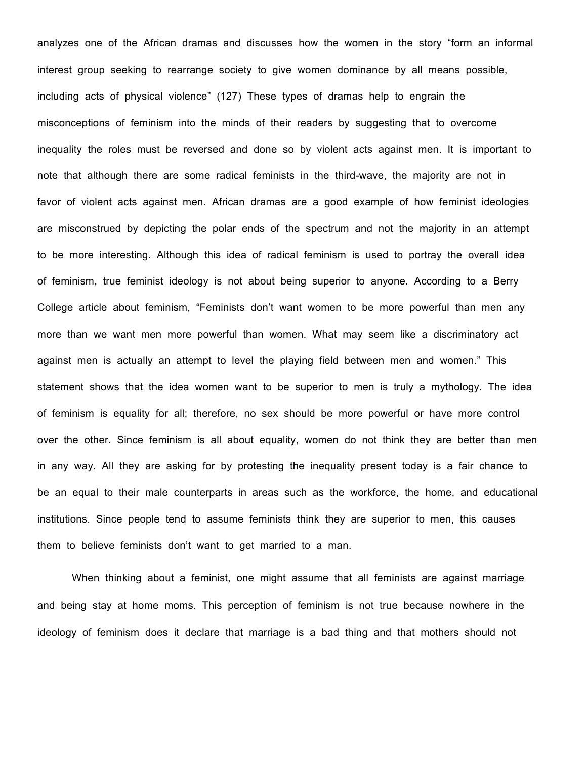analyzes one of the African dramas and discusses how the women in the story "form an informal interest group seeking to rearrange society to give women dominance by all means possible, including acts of physical violence" (127) These types of dramas help to engrain the misconceptions of feminism into the minds of their readers by suggesting that to overcome inequality the roles must be reversed and done so by violent acts against men. It is important to note that although there are some radical feminists in the third-wave, the majority are not in favor of violent acts against men. African dramas are a good example of how feminist ideologies are misconstrued by depicting the polar ends of the spectrum and not the majority in an attempt to be more interesting. Although this idea of radical feminism is used to portray the overall idea of feminism, true feminist ideology is not about being superior to anyone. According to a Berry College article about feminism, "Feminists don't want women to be more powerful than men any more than we want men more powerful than women. What may seem like a discriminatory act against men is actually an attempt to level the playing field between men and women." This statement shows that the idea women want to be superior to men is truly a mythology. The idea of feminism is equality for all; therefore, no sex should be more powerful or have more control over the other. Since feminism is all about equality, women do not think they are better than men in any way. All they are asking for by protesting the inequality present today is a fair chance to be an equal to their male counterparts in areas such as the workforce, the home, and educational institutions. Since people tend to assume feminists think they are superior to men, this causes them to believe feminists don't want to get married to a man.

When thinking about a feminist, one might assume that all feminists are against marriage and being stay at home moms. This perception of feminism is not true because nowhere in the ideology of feminism does it declare that marriage is a bad thing and that mothers should not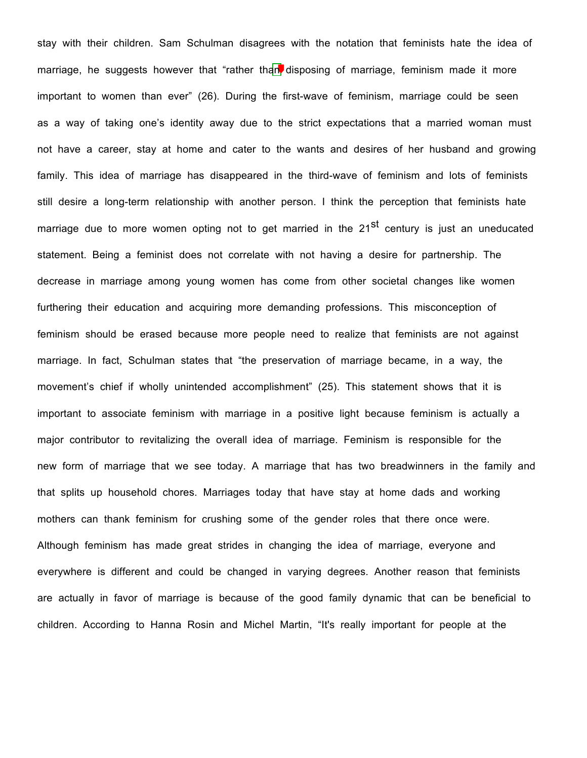stay with their children. Sam Schulman disagrees with the notation that feminists hate the idea of marriage, he suggests however that "rather than disposing of marriage, feminism made it more important to women than ever" (26). During the first-wave of feminism, marriage could be seen as a way of taking one's identity away due to the strict expectations that a married woman must not have a career, stay at home and cater to the wants and desires of her husband and growing family. This idea of marriage has disappeared in the third-wave of feminism and lots of feminists still desire a long-term relationship with another person. I think the perception that feminists hate marriage due to more women opting not to get married in the  $21^{st}$  century is just an uneducated statement. Being a feminist does not correlate with not having a desire for partnership. The decrease in marriage among young women has come from other societal changes like women furthering their education and acquiring more demanding professions. This misconception of feminism should be erased because more people need to realize that feminists are not against marriage. In fact, Schulman states that "the preservation of marriage became, in a way, the movement's chief if wholly unintended accomplishment" (25). This statement shows that it is important to associate feminism with marriage in a positive light because feminism is actually a major contributor to revitalizing the overall idea of marriage. Feminism is responsible for the new form of marriage that we see today. A marriage that has two breadwinners in the family and that splits up household chores. Marriages today that have stay at home dads and working mothers can thank feminism for crushing some of the gender roles that there once were. Although feminism has made great strides in changing the idea of marriage, everyone and everywhere is different and could be changed in varying degrees. Another reason that feminists are actually in favor of marriage is because of the good family dynamic that can be beneficial to children. According to Hanna Rosin and Michel Martin, "It's really important for people at the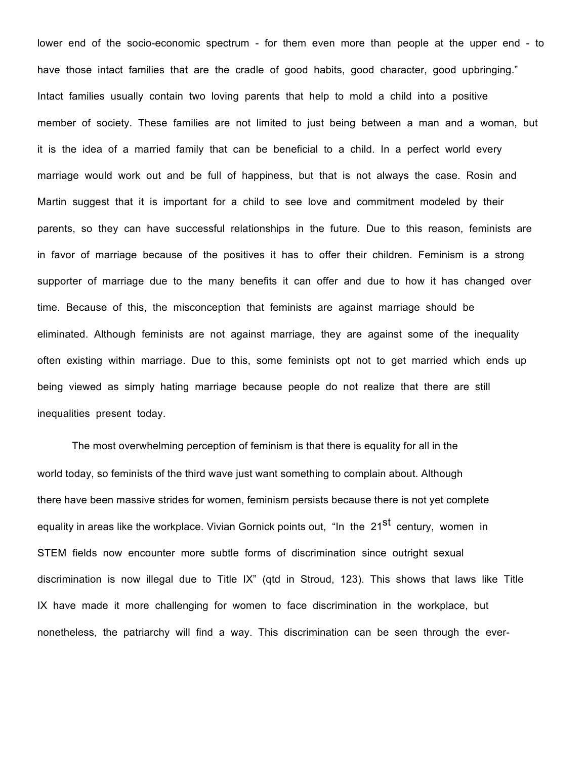lower end of the socio-economic spectrum - for them even more than people at the upper end - to have those intact families that are the cradle of good habits, good character, good upbringing." Intact families usually contain two loving parents that help to mold a child into a positive member of society. These families are not limited to just being between a man and a woman, but it is the idea of a married family that can be beneficial to a child. In a perfect world every marriage would work out and be full of happiness, but that is not always the case. Rosin and Martin suggest that it is important for a child to see love and commitment modeled by their parents, so they can have successful relationships in the future. Due to this reason, feminists are in favor of marriage because of the positives it has to offer their children. Feminism is a strong supporter of marriage due to the many benefits it can offer and due to how it has changed over time. Because of this, the misconception that feminists are against marriage should be eliminated. Although feminists are not against marriage, they are against some of the inequality often existing within marriage. Due to this, some feminists opt not to get married which ends up being viewed as simply hating marriage because people do not realize that there are still inequalities present today.

The most overwhelming perception of feminism is that there is equality for all in the world today, so feminists of the third wave just want something to complain about. Although there have been massive strides for women, feminism persists because there is not yet complete equality in areas like the workplace. Vivian Gornick points out, "In the 21<sup>St</sup> century, women in STEM fields now encounter more subtle forms of discrimination since outright sexual discrimination is now illegal due to Title IX" (qtd in Stroud, 123). This shows that laws like Title IX have made it more challenging for women to face discrimination in the workplace, but nonetheless, the patriarchy will find a way. This discrimination can be seen through the ever-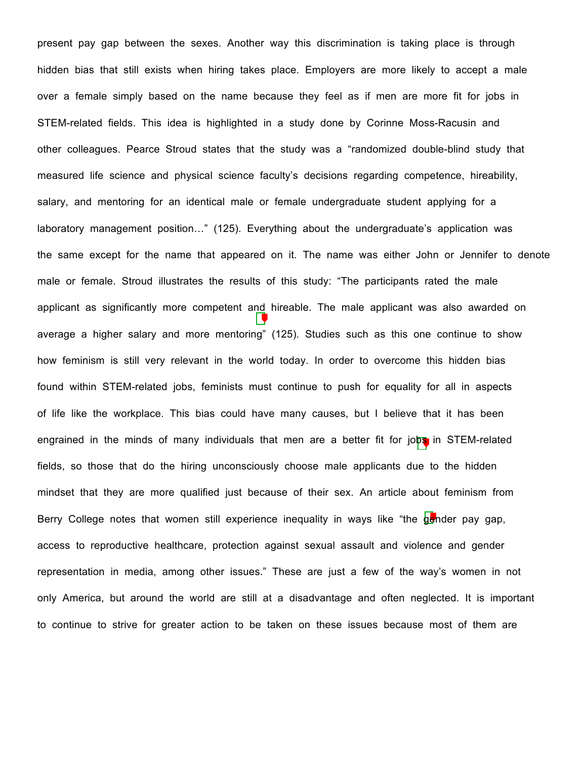present pay gap between the sexes. Another way this discrimination is taking place is through hidden bias that still exists when hiring takes place. Employers are more likely to accept a male over a female simply based on the name because they feel as if men are more fit for jobs in STEM-related fields. This idea is highlighted in a study done by Corinne Moss-Racusin and other colleagues. Pearce Stroud states that the study was a "randomized double-blind study that measured life science and physical science faculty's decisions regarding competence, hireability, salary, and mentoring for an identical male or female undergraduate student applying for a laboratory management position…" (125). Everything about the undergraduate's application was the same except for the name that appeared on it. The name was either John or Jennifer to denote male or female. Stroud illustrates the results of this study: "The participants rated the male applicant as significantly more competent and hireable. The male applicant was also awarded on average a higher salary and more mentoring" (125). Studies such as this one continue to show how feminism is still very relevant in the world today. In order to overcome this hidden bias found within STEM-related jobs, feminists must continue to push for equality for all in aspects of life like the workplace. This bias could have many causes, but I believe that it has been engrained in the minds of many individuals that men are a better fit for jobs in STEM-related fields, so those that do the hiring unconsciously choose male applicants due to the hidden mindset that they are more qualified just because of their sex. An article about feminism from Berry College notes that women still experience inequality in ways like "the gender pay gap, access to reproductive healthcare, protection against sexual assault and violence and gender representation in media, among other issues." These are just a few of the way's women in not only America, but around the world are still at a disadvantage and often neglected. It is important to continue to strive for greater action to be taken on these issues because most of them are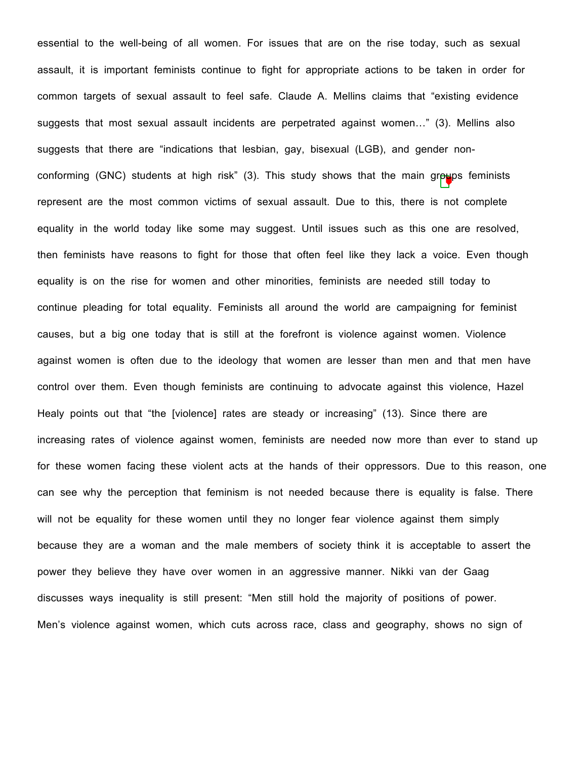essential to the well-being of all women. For issues that are on the rise today, such as sexual assault, it is important feminists continue to fight for appropriate actions to be taken in order for common targets of sexual assault to feel safe. Claude A. Mellins claims that "existing evidence suggests that most sexual assault incidents are perpetrated against women…" (3). Mellins also suggests that there are "indications that lesbian, gay, bisexual (LGB), and gender nonconforming (GNC) students at high risk" (3). This study shows that the main groups feminists represent are the most common victims of sexual assault. Due to this, there is not complete equality in the world today like some may suggest. Until issues such as this one are resolved, then feminists have reasons to fight for those that often feel like they lack a voice. Even though equality is on the rise for women and other minorities, feminists are needed still today to continue pleading for total equality. Feminists all around the world are campaigning for feminist causes, but a big one today that is still at the forefront is violence against women. Violence against women is often due to the ideology that women are lesser than men and that men have control over them. Even though feminists are continuing to advocate against this violence, Hazel Healy points out that "the [violence] rates are steady or increasing" (13). Since there are increasing rates of violence against women, feminists are needed now more than ever to stand up for these women facing these violent acts at the hands of their oppressors. Due to this reason, one can see why the perception that feminism is not needed because there is equality is false. There will not be equality for these women until they no longer fear violence against them simply because they are a woman and the male members of society think it is acceptable to assert the power they believe they have over women in an aggressive manner. Nikki van der Gaag discusses ways inequality is still present: "Men still hold the majority of positions of power. Men's violence against women, which cuts across race, class and geography, shows no sign of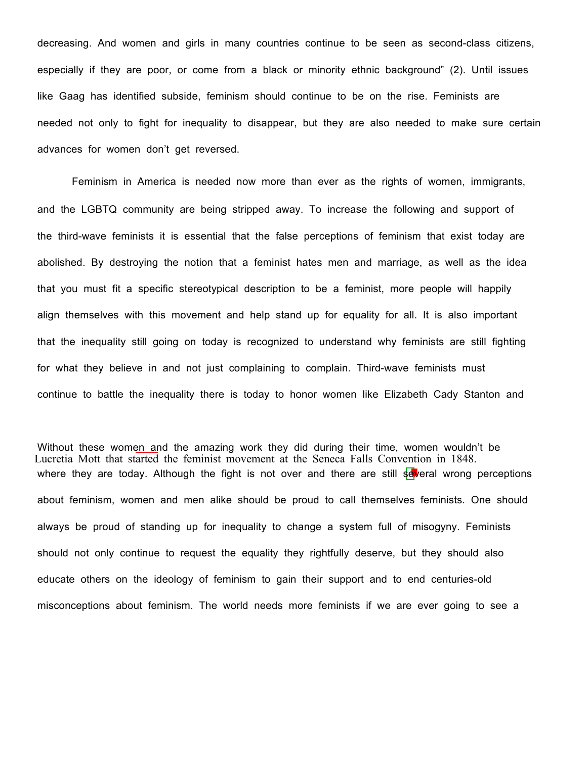decreasing. And women and girls in many countries continue to be seen as second-class citizens, especially if they are poor, or come from a black or minority ethnic background" (2). Until issues like Gaag has identified subside, feminism should continue to be on the rise. Feminists are needed not only to fight for inequality to disappear, but they are also needed to make sure certain advances for women don't get reversed.

Feminism in America is needed now more than ever as the rights of women, immigrants, and the LGBTQ community are being stripped away. To increase the following and support of the third-wave feminists it is essential that the false perceptions of feminism that exist today are abolished. By destroying the notion that a feminist hates men and marriage, as well as the idea that you must fit a specific stereotypical description to be a feminist, more people will happily align themselves with this movement and help stand up for equality for all. It is also important that the inequality still going on today is recognized to understand why feminists are still fighting for what they believe in and not just complaining to complain. Third-wave feminists must continue to battle the inequality there is today to honor women like Elizabeth Cady Stanton and

Lucretia Mott that started the feminist movement at the Seneca Falls Convention in 1848. Without these women and the amazing work they did during their time, women wouldn't be where they are today. Although the fight is not over and there are still several wrong perceptions about feminism, women and men alike should be proud to call themselves feminists. One should always be proud of standing up for inequality to change a system full of misogyny. Feminists should not only continue to request the equality they rightfully deserve, but they should also educate others on the ideology of feminism to gain their support and to end centuries-old misconceptions about feminism. The world needs more feminists if we are ever going to see a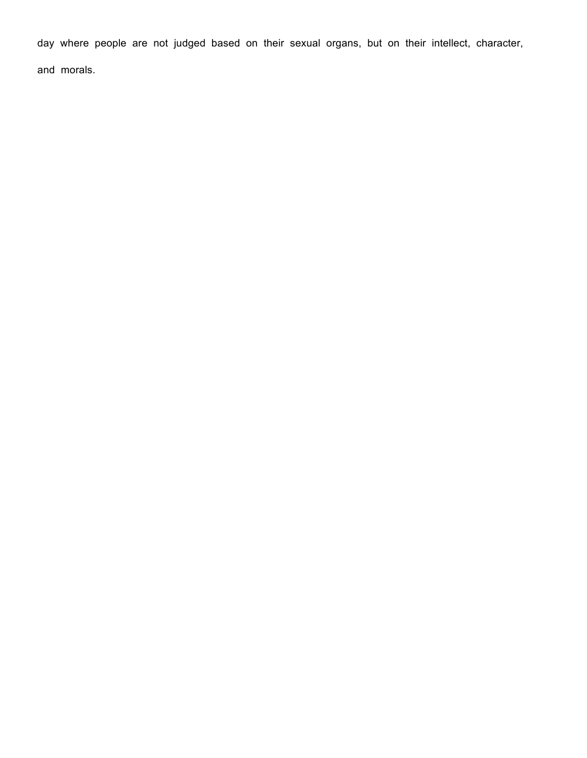day where people are not judged based on their sexual organs, but on their intellect, character,

and morals.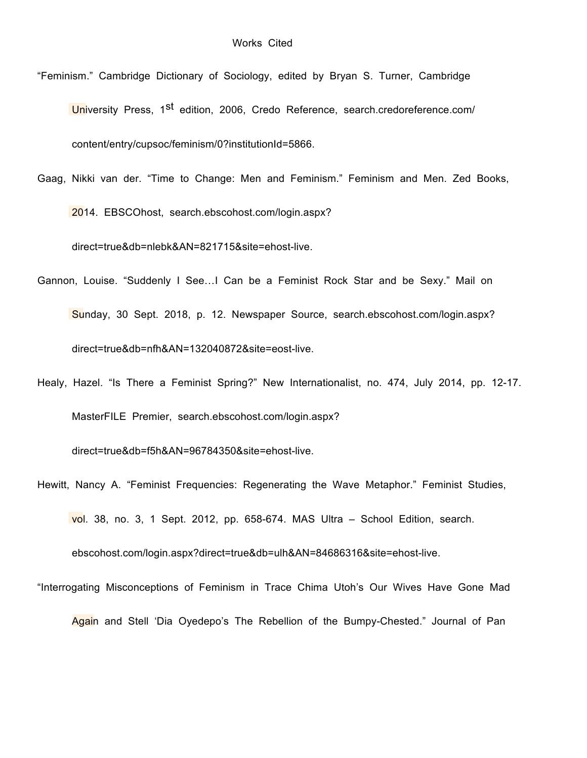- "Feminism." Cambridge Dictionary of Sociology, edited by Bryan S. Turner, Cambridge University Press, 1<sup>st</sup> edition, 2006, Credo Reference, search.credoreference.com/ content/entry/cupsoc/feminism/0?institutionId=5866.
- Gaag, Nikki van der. "Time to Change: Men and Feminism." Feminism and Men. Zed Books,

2014. EBSCOhost, search.ebscohost.com/login.aspx?

direct=true&db=nlebk&AN=821715&site=ehost-live.

- Gannon, Louise. "Suddenly I See…I Can be a Feminist Rock Star and be Sexy." Mail on Sunday, 30 Sept. 2018, p. 12. Newspaper Source, search.ebscohost.com/login.aspx? direct=true&db=nfh&AN=132040872&site=eost-live.
- Healy, Hazel. "Is There a Feminist Spring?" New Internationalist, no. 474, July 2014, pp. 12-17. MasterFILE Premier, search.ebscohost.com/login.aspx?

direct=true&db=f5h&AN=96784350&site=ehost-live.

Hewitt, Nancy A. "Feminist Frequencies: Regenerating the Wave Metaphor." Feminist Studies, vol. 38, no. 3, 1 Sept. 2012, pp. 658-674. MAS Ultra – School Edition, search.

ebscohost.com/login.aspx?direct=true&db=ulh&AN=84686316&site=ehost-live.

"Interrogating Misconceptions of Feminism in Trace Chima Utoh's Our Wives Have Gone Mad

Again and Stell 'Dia Oyedepo's The Rebellion of the Bumpy-Chested." Journal of Pan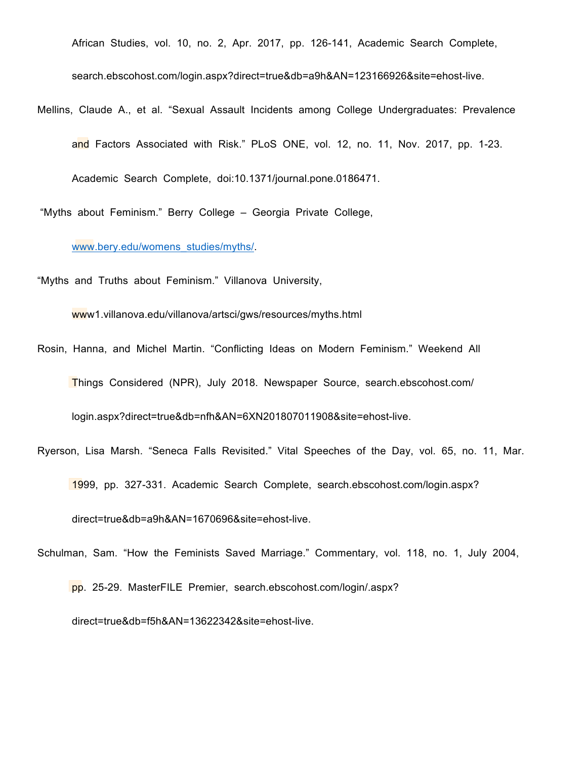African Studies, vol. 10, no. 2, Apr. 2017, pp. 126-141, Academic Search Complete,

search.ebscohost.com/login.aspx?direct=true&db=a9h&AN=123166926&site=ehost-live.

Mellins, Claude A., et al. "Sexual Assault Incidents among College Undergraduates: Prevalence and Factors Associated with Risk." PLoS ONE, vol. 12, no. 11, Nov. 2017, pp. 1-23. Academic Search Complete, doi:10.1371/journal.pone.0186471.

"Myths about Feminism." Berry College – Georgia Private College,

www.bery.edu/womens\_studies/myths/.

"Myths and Truths about Feminism." Villanova University,

www1.villanova.edu/villanova/artsci/gws/resources/myths.html

Rosin, Hanna, and Michel Martin. "Conflicting Ideas on Modern Feminism." Weekend All Things Considered (NPR), July 2018. Newspaper Source, search.ebscohost.com/

login.aspx?direct=true&db=nfh&AN=6XN201807011908&site=ehost-live.

- Ryerson, Lisa Marsh. "Seneca Falls Revisited." Vital Speeches of the Day, vol. 65, no. 11, Mar. 1999, pp. 327-331. Academic Search Complete, search.ebscohost.com/login.aspx? direct=true&db=a9h&AN=1670696&site=ehost-live.
- Schulman, Sam. "How the Feminists Saved Marriage." Commentary, vol. 118, no. 1, July 2004,

pp. 25-29. MasterFILE Premier, search.ebscohost.com/login/.aspx? direct=true&db=f5h&AN=13622342&site=ehost-live.